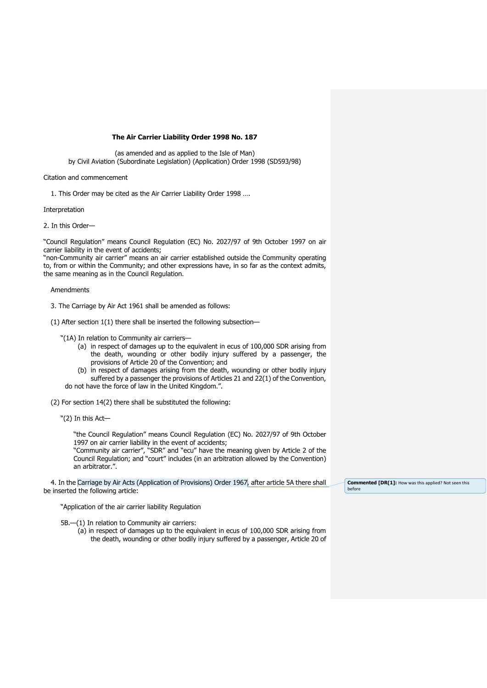# **The Air Carrier Liability Order 1998 No. 187**

(as amended and as applied to the Isle of Man) by Civil Aviation (Subordinate Legislation) (Application) Order 1998 (SD593/98)

## Citation and commencement

1. This Order may be cited as the Air Carrier Liability Order 1998 ….

Interpretation

2. In this Order—

"Council Regulation" means Council Regulation (EC) No. 2027/97 of 9th October 1997 on air carrier liability in the event of accidents;

"non-Community air carrier" means an air carrier established outside the Community operating to, from or within the Community; and other expressions have, in so far as the context admits, the same meaning as in the Council Regulation.

### Amendments

3. The Carriage by Air Act 1961 shall be amended as follows:

(1) After section 1(1) there shall be inserted the following subsection—

- "(1A) In relation to Community air carriers—
	- (a) in respect of damages up to the equivalent in ecus of 100,000 SDR arising from the death, wounding or other bodily injury suffered by a passenger, the provisions of Article 20 of the Convention; and
	- (b) in respect of damages arising from the death, wounding or other bodily injury suffered by a passenger the provisions of Articles 21 and 22(1) of the Convention,

do not have the force of law in the United Kingdom.".

(2) For section 14(2) there shall be substituted the following:

"(2) In this Act—

"the Council Regulation" means Council Regulation (EC) No. 2027/97 of 9th October 1997 on air carrier liability in the event of accidents;

"Community air carrier", "SDR" and "ecu" have the meaning given by Article 2 of the Council Regulation; and "court" includes (in an arbitration allowed by the Convention) an arbitrator.".

4. In the Carriage by Air Acts (Application of Provisions) Order 1967, after article 5A there shall be inserted the following article:

"Application of the air carrier liability Regulation

5B.—(1) In relation to Community air carriers:

(a) in respect of damages up to the equivalent in ecus of 100,000 SDR arising from the death, wounding or other bodily injury suffered by a passenger, Article 20 of **Commented [DR(1]:** How was this applied? Not seen this before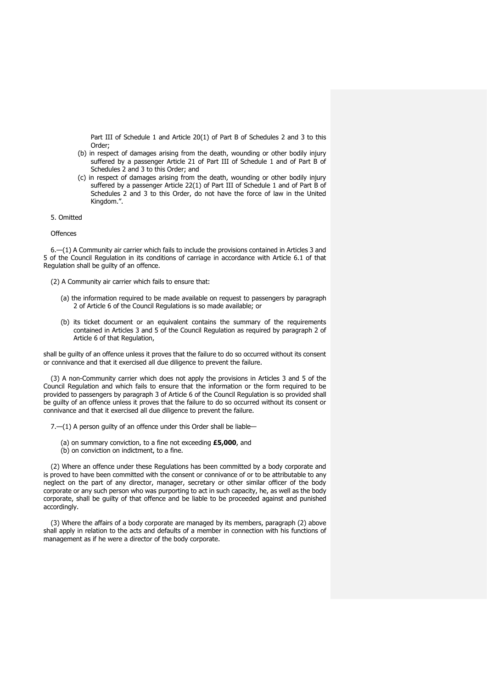Part III of Schedule 1 and Article 20(1) of Part B of Schedules 2 and 3 to this Order;

- (b) in respect of damages arising from the death, wounding or other bodily injury suffered by a passenger Article 21 of Part III of Schedule 1 and of Part B of Schedules 2 and 3 to this Order; and
- (c) in respect of damages arising from the death, wounding or other bodily injury suffered by a passenger Article 22(1) of Part III of Schedule 1 and of Part B of Schedules 2 and 3 to this Order, do not have the force of law in the United Kingdom.".

### 5. Omitted

#### **Offences**

6.—(1) A Community air carrier which fails to include the provisions contained in Articles 3 and 5 of the Council Regulation in its conditions of carriage in accordance with Article 6.1 of that Regulation shall be guilty of an offence.

- (2) A Community air carrier which fails to ensure that:
	- (a) the information required to be made available on request to passengers by paragraph 2 of Article 6 of the Council Regulations is so made available; or
	- (b) its ticket document or an equivalent contains the summary of the requirements contained in Articles 3 and 5 of the Council Regulation as required by paragraph 2 of Article 6 of that Regulation,

shall be guilty of an offence unless it proves that the failure to do so occurred without its consent or connivance and that it exercised all due diligence to prevent the failure.

(3) A non-Community carrier which does not apply the provisions in Articles 3 and 5 of the Council Regulation and which fails to ensure that the information or the form required to be provided to passengers by paragraph 3 of Article 6 of the Council Regulation is so provided shall be guilty of an offence unless it proves that the failure to do so occurred without its consent or connivance and that it exercised all due diligence to prevent the failure.

7.—(1) A person guilty of an offence under this Order shall be liable—

- (a) on summary conviction, to a fine not exceeding **£5,000**, and
- (b) on conviction on indictment, to a fine.

(2) Where an offence under these Regulations has been committed by a body corporate and is proved to have been committed with the consent or connivance of or to be attributable to any neglect on the part of any director, manager, secretary or other similar officer of the body corporate or any such person who was purporting to act in such capacity, he, as well as the body corporate, shall be guilty of that offence and be liable to be proceeded against and punished accordingly.

(3) Where the affairs of a body corporate are managed by its members, paragraph (2) above shall apply in relation to the acts and defaults of a member in connection with his functions of management as if he were a director of the body corporate.